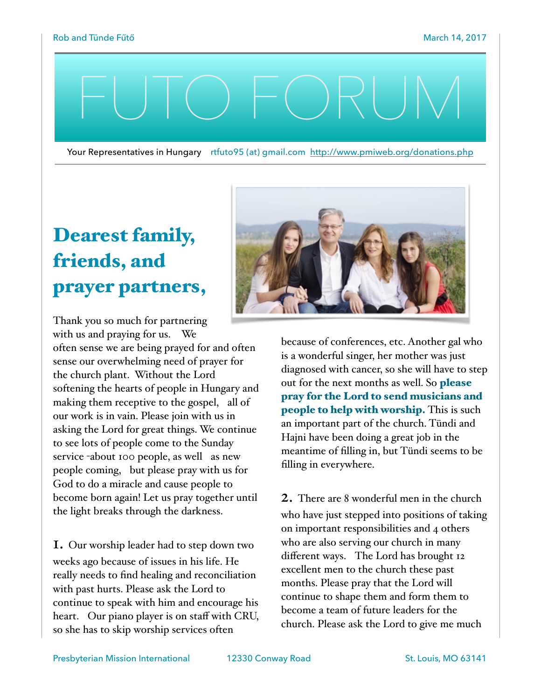## FUTO FORUM

Your Representatives in Hungary rtfuto95 (at) gmail.com <http://www.pmiweb.org/donations.php>

## Dearest family, friends, and prayer partners,

Thank you so much for partnering with us and praying for us. We often sense we are being prayed for and often sense our overwhelming need of prayer for the church plant. Without the Lord softening the hearts of people in Hungary and making them receptive to the gospel, all of our work is in vain. Please join with us in asking the Lord for great things. We continue to see lots of people come to the Sunday service -about 100 people, as well as new people coming, but please pray with us for God to do a miracle and cause people to become born again! Let us pray together until the light breaks through the darkness.

1. Our worship leader had to step down two weeks ago because of issues in his life. He really needs to find healing and reconciliation with past hurts. Please ask the Lord to continue to speak with him and encourage his heart. Our piano player is on staff with CRU, so she has to skip worship services often



because of conferences, etc. Another gal who is a wonderful singer, her mother was just diagnosed with cancer, so she will have to step out for the next months as well. So **please** pray for the Lord to send musicians and people to help with worship. This is such an important part of the church. Tündi and Hajni have been doing a great job in the meantime of filling in, but Tündi seems to be filling in everywhere.

2. There are 8 wonderful men in the church who have just stepped into positions of taking on important responsibilities and 4 others who are also serving our church in many different ways. The Lord has brought 12 excellent men to the church these past months. Please pray that the Lord will continue to shape them and form them to become a team of future leaders for the church. Please ask the Lord to give me much